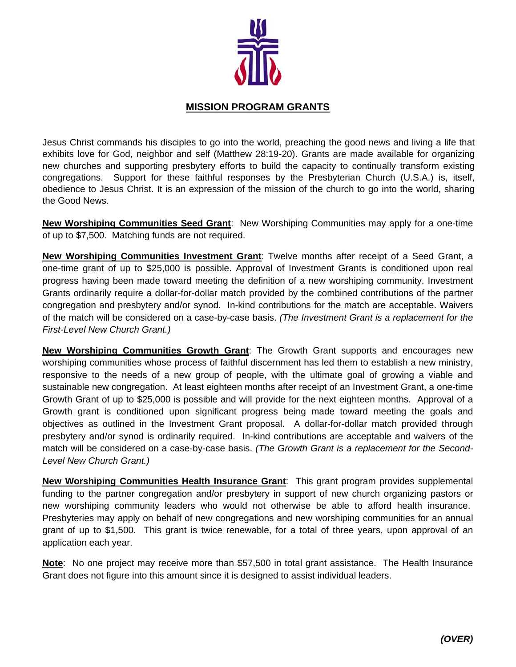

## **MISSION PROGRAM GRANTS**

Jesus Christ commands his disciples to go into the world, preaching the good news and living a life that exhibits love for God, neighbor and self (Matthew 28:19-20). Grants are made available for organizing new churches and supporting presbytery efforts to build the capacity to continually transform existing congregations. Support for these faithful responses by the Presbyterian Church (U.S.A.) is, itself, obedience to Jesus Christ. It is an expression of the mission of the church to go into the world, sharing the Good News.

**New Worshiping Communities Seed Grant**: New Worshiping Communities may apply for a one-time of up to \$7,500. Matching funds are not required.

**New Worshiping Communities Investment Grant**: Twelve months after receipt of a Seed Grant, a one-time grant of up to \$25,000 is possible. Approval of Investment Grants is conditioned upon real progress having been made toward meeting the definition of a new worshiping community. Investment Grants ordinarily require a dollar-for-dollar match provided by the combined contributions of the partner congregation and presbytery and/or synod. In-kind contributions for the match are acceptable. Waivers of the match will be considered on a case-by-case basis. *(The Investment Grant is a replacement for the First-Level New Church Grant.)*

**New Worshiping Communities Growth Grant**: The Growth Grant supports and encourages new worshiping communities whose process of faithful discernment has led them to establish a new ministry, responsive to the needs of a new group of people, with the ultimate goal of growing a viable and sustainable new congregation. At least eighteen months after receipt of an Investment Grant, a one-time Growth Grant of up to \$25,000 is possible and will provide for the next eighteen months. Approval of a Growth grant is conditioned upon significant progress being made toward meeting the goals and objectives as outlined in the Investment Grant proposal. A dollar-for-dollar match provided through presbytery and/or synod is ordinarily required. In-kind contributions are acceptable and waivers of the match will be considered on a case-by-case basis. *(The Growth Grant is a replacement for the Second-Level New Church Grant.)*

**New Worshiping Communities Health Insurance Grant**: This grant program provides supplemental funding to the partner congregation and/or presbytery in support of new church organizing pastors or new worshiping community leaders who would not otherwise be able to afford health insurance. Presbyteries may apply on behalf of new congregations and new worshiping communities for an annual grant of up to \$1,500. This grant is twice renewable, for a total of three years, upon approval of an application each year.

**Note**: No one project may receive more than \$57,500 in total grant assistance. The Health Insurance Grant does not figure into this amount since it is designed to assist individual leaders.